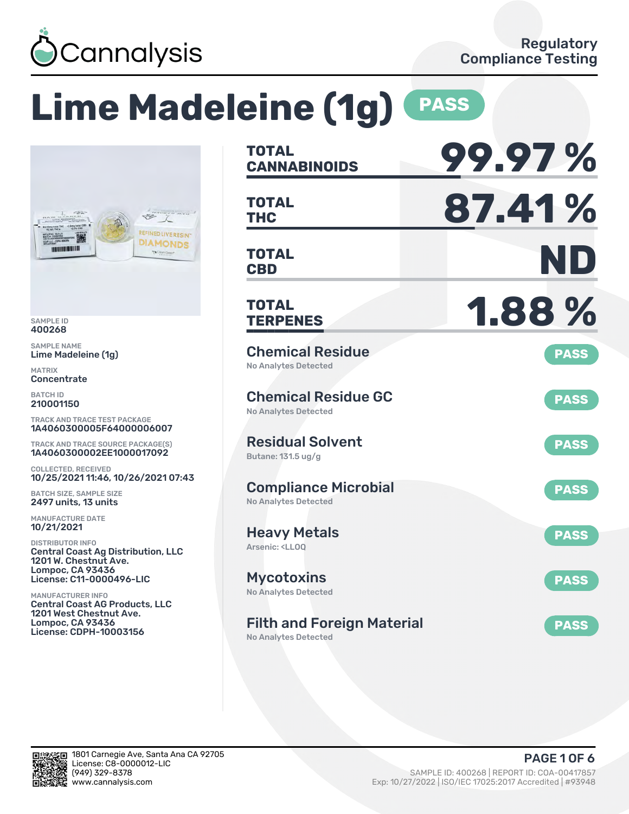

# **Lime Madeleine (1g) PASS**



SAMPLE ID 400268

SAMPLE NAME Lime Madeleine (1g)

MATRIX **Concentrate** 

BATCH ID 210001150

TRACK AND TRACE TEST PACKAGE 1A4060300005F64000006007

TRACK AND TRACE SOURCE PACKAGE(S) 1A4060300002EE1000017092

COLLECTED, RECEIVED 10/25/2021 11:46, 10/26/2021 07:43

BATCH SIZE, SAMPLE SIZE 2497 units, 13 units

MANUFACTURE DATE 10/21/2021

DISTRIBUTOR INFO Central Coast Ag Distribution, LLC 1201 W. Chestnut Ave. Lompoc, CA 93436 License: C11-0000496-LIC

MANUFACTURER INFO Central Coast AG Products, LLC 1201 West Chestnut Ave. Lompoc, CA 93436 License: CDPH-10003156

| <b>TOTAL</b><br><b>CANNABINOIDS</b>                                       | 99.97%      |
|---------------------------------------------------------------------------|-------------|
| <b>TOTAL</b><br><b>THC</b>                                                | 87.41%      |
| <b>TOTAL</b><br><b>CBD</b>                                                | ND          |
| <b>TOTAL</b><br><b>TERPENES</b>                                           | 1.88%       |
| <b>Chemical Residue</b><br>No Analytes Detected                           | <b>PASS</b> |
| <b>Chemical Residue GC</b><br><b>No Analytes Detected</b>                 | <b>PASS</b> |
| <b>Residual Solvent</b><br>Butane: 131.5 ug/g                             | <b>PASS</b> |
| <b>Compliance Microbial</b><br><b>No Analytes Detected</b>                | <b>PASS</b> |
| <b>Heavy Metals</b><br>Arsenic: <ll00< td=""><td><b>PASS</b></td></ll00<> | <b>PASS</b> |
| <b>Mycotoxins</b><br>No Analytes Detected                                 | <b>PASS</b> |
| <b>Filth and Foreign Material</b><br><b>No Analytes Detected</b>          | <b>PASS</b> |

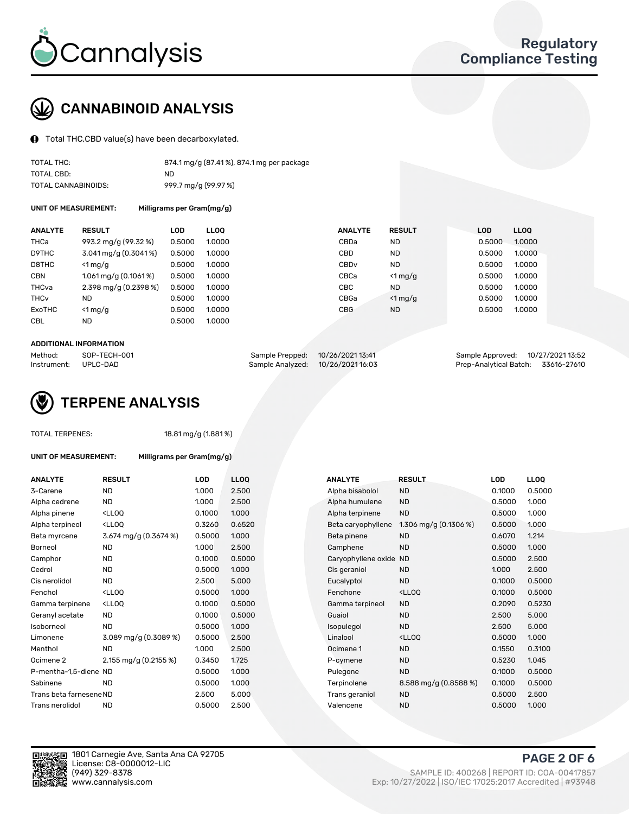

### CANNABINOID ANALYSIS

Total THC,CBD value(s) have been decarboxylated.

| TOTAL THC:          | 874.1 mg/g (87.41%), 874.1 mg per package |
|---------------------|-------------------------------------------|
| TOTAL CBD:          | ND.                                       |
| TOTAL CANNABINOIDS: | 999.7 mg/g (99.97 %)                      |

UNIT OF MEASUREMENT: Milligrams per Gram(mg/g)

| <b>ANALYTE</b>         | <b>RESULT</b>           | LOD    | <b>LLOO</b> | <b>ANALYTE</b>   | <b>RESULT</b>    | <b>LOD</b> | LL <sub>00</sub> |
|------------------------|-------------------------|--------|-------------|------------------|------------------|------------|------------------|
| THCa                   | 993.2 mg/g (99.32 %)    | 0.5000 | 1.0000      | CBDa             | <b>ND</b>        | 0.5000     | 1.0000           |
| D9THC                  | $3.041$ mg/g (0.3041 %) | 0.5000 | 1.0000      | CBD              | <b>ND</b>        | 0.5000     | 1.0000           |
| D8THC                  | $<$ 1 mg/g              | 0.5000 | 1.0000      | CBD <sub>v</sub> | <b>ND</b>        | 0.5000     | 1.0000           |
| <b>CBN</b>             | 1.061 mg/g $(0.1061\%)$ | 0.5000 | 1.0000      | CBCa             | $<$ 1 mg/g       | 0.5000     | 1.0000           |
| THCva                  | 2.398 mg/g $(0.2398\%)$ | 0.5000 | 1.0000      | CBC.             | <b>ND</b>        | 0.5000     | 1.0000           |
| <b>THC<sub>v</sub></b> | ND.                     | 0.5000 | 1.0000      | CBGa             | $\langle$ 1 mg/g | 0.5000     | 1.0000           |
| <b>ExoTHC</b>          | $<$ 1 mg/g              | 0.5000 | 1.0000      | <b>CBG</b>       | <b>ND</b>        | 0.5000     | 1.0000           |
| <b>CBL</b>             | ND.                     | 0.5000 | 1.0000      |                  |                  |            |                  |
|                        |                         |        |             |                  |                  |            |                  |

#### ADDITIONAL INFORMATION

| Method:     | SOP-TECH-001 | Sample Prepped: 10/26/2021 13:41 | Sample Approved: 10/27/202113:52   |  |
|-------------|--------------|----------------------------------|------------------------------------|--|
| Instrument: | UPLC-DAD     | Sample Analyzed: 10/26/202116:03 | Prep-Analytical Batch: 33616-27610 |  |



#### TOTAL TERPENES: 18.81 mg/g (1.881 %)

| ANALYTE                 | <b>RESULT</b>                                                                                                                                          | <b>LOD</b> | <b>LLOQ</b> | <b>ANALYTE</b>         | <b>RESULT</b>                                      | <b>LOD</b> | <b>LLOQ</b> |
|-------------------------|--------------------------------------------------------------------------------------------------------------------------------------------------------|------------|-------------|------------------------|----------------------------------------------------|------------|-------------|
| 3-Carene                | <b>ND</b>                                                                                                                                              | 1.000      | 2.500       | Alpha bisabolol        | <b>ND</b>                                          | 0.1000     | 0.500       |
| Alpha cedrene           | <b>ND</b>                                                                                                                                              | 1.000      | 2.500       | Alpha humulene         | <b>ND</b>                                          | 0.5000     | 1.000       |
| Alpha pinene            | <lloq< td=""><td>0.1000</td><td>1.000</td><td>Alpha terpinene</td><td><b>ND</b></td><td>0.5000</td><td>1.000</td></lloq<>                              | 0.1000     | 1.000       | Alpha terpinene        | <b>ND</b>                                          | 0.5000     | 1.000       |
| Alpha terpineol         | <ll0q< td=""><td>0.3260</td><td>0.6520</td><td>Beta caryophyllene</td><td>1.306 mg/g <math>(0.1306\%)</math></td><td>0.5000</td><td>1.000</td></ll0q<> | 0.3260     | 0.6520      | Beta caryophyllene     | 1.306 mg/g $(0.1306\%)$                            | 0.5000     | 1.000       |
| Beta myrcene            | 3.674 mg/g (0.3674 %)                                                                                                                                  | 0.5000     | 1.000       | Beta pinene            | <b>ND</b>                                          | 0.6070     | 1.214       |
| Borneol                 | <b>ND</b>                                                                                                                                              | 1.000      | 2.500       | Camphene               | <b>ND</b>                                          | 0.5000     | 1.000       |
| Camphor                 | <b>ND</b>                                                                                                                                              | 0.1000     | 0.5000      | Caryophyllene oxide ND |                                                    | 0.5000     | 2.500       |
| Cedrol                  | ND                                                                                                                                                     | 0.5000     | 1.000       | Cis geraniol           | <b>ND</b>                                          | 1.000      | 2.500       |
| Cis nerolidol           | <b>ND</b>                                                                                                                                              | 2.500      | 5.000       | Eucalyptol             | <b>ND</b>                                          | 0.1000     | 0.500       |
| Fenchol                 | <lloq< td=""><td>0.5000</td><td>1.000</td><td>Fenchone</td><td><ll0q< td=""><td>0.1000</td><td>0.500</td></ll0q<></td></lloq<>                         | 0.5000     | 1.000       | Fenchone               | <ll0q< td=""><td>0.1000</td><td>0.500</td></ll0q<> | 0.1000     | 0.500       |
| Gamma terpinene         | <lloq< td=""><td>0.1000</td><td>0.5000</td><td>Gamma terpineol</td><td><b>ND</b></td><td>0.2090</td><td>0.523</td></lloq<>                             | 0.1000     | 0.5000      | Gamma terpineol        | <b>ND</b>                                          | 0.2090     | 0.523       |
| Geranyl acetate         | <b>ND</b>                                                                                                                                              | 0.1000     | 0.5000      | Guaiol                 | <b>ND</b>                                          | 2.500      | 5.000       |
| Isoborneol              | <b>ND</b>                                                                                                                                              | 0.5000     | 1.000       | Isopulegol             | <b>ND</b>                                          | 2.500      | 5.000       |
| Limonene                | $3.089$ mg/g (0.3089 %)                                                                                                                                | 0.5000     | 2.500       | Linalool               | <lloo< td=""><td>0.5000</td><td>1.000</td></lloo<> | 0.5000     | 1.000       |
| Menthol                 | <b>ND</b>                                                                                                                                              | 1.000      | 2.500       | Ocimene 1              | <b>ND</b>                                          | 0.1550     | 0.310       |
| Ocimene 2               | 2.155 mg/g (0.2155 %)                                                                                                                                  | 0.3450     | 1.725       | P-cymene               | <b>ND</b>                                          | 0.5230     | 1.045       |
| P-mentha-1,5-diene ND   |                                                                                                                                                        | 0.5000     | 1.000       | Pulegone               | <b>ND</b>                                          | 0.1000     | 0.500       |
| Sabinene                | <b>ND</b>                                                                                                                                              | 0.5000     | 1.000       | Terpinolene            | 8.588 mg/g (0.8588 %)                              | 0.1000     | 0.500       |
| Trans beta farnesene ND |                                                                                                                                                        | 2.500      | 5.000       | Trans geraniol         | <b>ND</b>                                          | 0.5000     | 2.500       |
| Trans nerolidol         | <b>ND</b>                                                                                                                                              | 0.5000     | 2.500       | Valencene              | <b>ND</b>                                          | 0.5000     | 1.000       |
|                         |                                                                                                                                                        |            |             |                        |                                                    |            |             |

UNIT OF MEASUREMENT: Milligrams per Gram(mg/g)

| <b>ANALYTE</b>          | <b>RESULT</b>                                                                                                                                          | <b>LOD</b> | <b>LLOQ</b> | <b>ANALYTE</b>         | <b>RESULT</b>                                       | <b>LOD</b> | <b>LLOQ</b> |
|-------------------------|--------------------------------------------------------------------------------------------------------------------------------------------------------|------------|-------------|------------------------|-----------------------------------------------------|------------|-------------|
| 3-Carene                | <b>ND</b>                                                                                                                                              | 1.000      | 2.500       | Alpha bisabolol        | <b>ND</b>                                           | 0.1000     | 0.5000      |
| Alpha cedrene           | <b>ND</b>                                                                                                                                              | 1.000      | 2.500       | Alpha humulene         | <b>ND</b>                                           | 0.5000     | 1.000       |
| Alpha pinene            | <lloq< td=""><td>0.1000</td><td>1.000</td><td>Alpha terpinene</td><td><b>ND</b></td><td>0.5000</td><td>1.000</td></lloq<>                              | 0.1000     | 1.000       | Alpha terpinene        | <b>ND</b>                                           | 0.5000     | 1.000       |
| Alpha terpineol         | <ll0q< td=""><td>0.3260</td><td>0.6520</td><td>Beta caryophyllene</td><td>1.306 mg/g <math>(0.1306\%)</math></td><td>0.5000</td><td>1.000</td></ll0q<> | 0.3260     | 0.6520      | Beta caryophyllene     | 1.306 mg/g $(0.1306\%)$                             | 0.5000     | 1.000       |
| Beta myrcene            | 3.674 mg/g (0.3674 %)                                                                                                                                  | 0.5000     | 1.000       | Beta pinene            | ND.                                                 | 0.6070     | 1.214       |
| Borneol                 | <b>ND</b>                                                                                                                                              | 1.000      | 2.500       | Camphene               | <b>ND</b>                                           | 0.5000     | 1.000       |
| Camphor                 | <b>ND</b>                                                                                                                                              | 0.1000     | 0.5000      | Caryophyllene oxide ND |                                                     | 0.5000     | 2.500       |
| Cedrol                  | <b>ND</b>                                                                                                                                              | 0.5000     | 1.000       | Cis geraniol           | <b>ND</b>                                           | 1.000      | 2.500       |
| Cis nerolidol           | <b>ND</b>                                                                                                                                              | 2.500      | 5.000       | Eucalyptol             | <b>ND</b>                                           | 0.1000     | 0.5000      |
| Fenchol                 | <lloq< td=""><td>0.5000</td><td>1.000</td><td>Fenchone</td><td><ll0q< td=""><td>0.1000</td><td>0.5000</td></ll0q<></td></lloq<>                        | 0.5000     | 1.000       | Fenchone               | <ll0q< td=""><td>0.1000</td><td>0.5000</td></ll0q<> | 0.1000     | 0.5000      |
| Gamma terpinene         | <ll0q< td=""><td>0.1000</td><td>0.5000</td><td>Gamma terpineol</td><td><b>ND</b></td><td>0.2090</td><td>0.5230</td></ll0q<>                            | 0.1000     | 0.5000      | Gamma terpineol        | <b>ND</b>                                           | 0.2090     | 0.5230      |
| Geranyl acetate         | <b>ND</b>                                                                                                                                              | 0.1000     | 0.5000      | Guaiol                 | <b>ND</b>                                           | 2.500      | 5.000       |
| Isoborneol              | <b>ND</b>                                                                                                                                              | 0.5000     | 1.000       | Isopulegol             | <b>ND</b>                                           | 2.500      | 5.000       |
| Limonene                | 3.089 mg/g (0.3089 %)                                                                                                                                  | 0.5000     | 2.500       | Linalool               | <lloq< td=""><td>0.5000</td><td>1.000</td></lloq<>  | 0.5000     | 1.000       |
| Menthol                 | <b>ND</b>                                                                                                                                              | 1.000      | 2.500       | Ocimene 1              | <b>ND</b>                                           | 0.1550     | 0.3100      |
| Ocimene 2               | 2.155 mg/g $(0.2155\%)$                                                                                                                                | 0.3450     | 1.725       | P-cymene               | <b>ND</b>                                           | 0.5230     | 1.045       |
| P-mentha-1,5-diene ND   |                                                                                                                                                        | 0.5000     | 1.000       | Pulegone               | <b>ND</b>                                           | 0.1000     | 0.5000      |
| Sabinene                | <b>ND</b>                                                                                                                                              | 0.5000     | 1.000       | Terpinolene            | 8.588 mg/g $(0.8588\%)$                             | 0.1000     | 0.5000      |
| Trans beta farnesene ND |                                                                                                                                                        | 2.500      | 5.000       | Trans geraniol         | <b>ND</b>                                           | 0.5000     | 2.500       |
| Trans nerolidol         | <b>ND</b>                                                                                                                                              | 0.5000     | 2.500       | Valencene              | <b>ND</b>                                           | 0.5000     | 1.000       |



1801 Carnegie Ave, Santa Ana CA 92705 License: C8-0000012-LIC<br>(949) 329-8378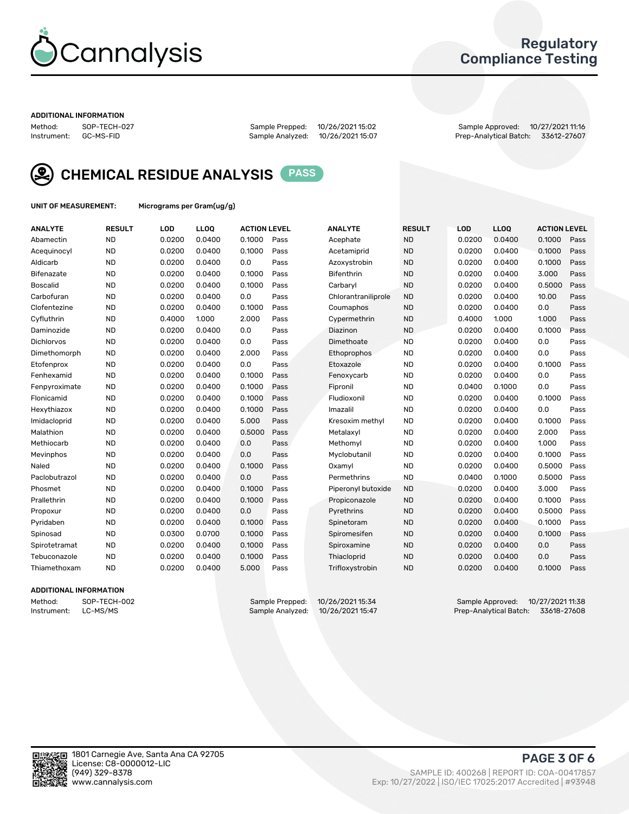

### Regulatory Compliance Testing

#### ADDITIONAL INFORMATION

Method: SOP-TECH-027 Sample Prepped: 10/26/2021 15:02 Sample Approved: 10/27/2021 11:16 Prep-Analytical Batch: 33612-27607



CHEMICAL RESIDUE ANALYSIS PASS

UNIT OF MEASUREMENT: Micrograms per Gram(ug/g)

| <b>ANALYTE</b>    | <b>RESULT</b> | LOD    | LL <sub>OO</sub> | <b>ACTION LEVEL</b> |      | <b>ANALYTE</b>      | <b>RESULT</b> | <b>LOD</b> | <b>LLOQ</b> | <b>ACTION LEVEL</b> |      |
|-------------------|---------------|--------|------------------|---------------------|------|---------------------|---------------|------------|-------------|---------------------|------|
| Abamectin         | <b>ND</b>     | 0.0200 | 0.0400           | 0.1000              | Pass | Acephate            | <b>ND</b>     | 0.0200     | 0.0400      | 0.1000              | Pass |
| Acequinocyl       | <b>ND</b>     | 0.0200 | 0.0400           | 0.1000              | Pass | Acetamiprid         | <b>ND</b>     | 0.0200     | 0.0400      | 0.1000              | Pass |
| Aldicarb          | <b>ND</b>     | 0.0200 | 0.0400           | 0.0                 | Pass | Azoxystrobin        | <b>ND</b>     | 0.0200     | 0.0400      | 0.1000              | Pass |
| Bifenazate        | <b>ND</b>     | 0.0200 | 0.0400           | 0.1000              | Pass | <b>Bifenthrin</b>   | <b>ND</b>     | 0.0200     | 0.0400      | 3.000               | Pass |
| <b>Boscalid</b>   | <b>ND</b>     | 0.0200 | 0.0400           | 0.1000              | Pass | Carbaryl            | <b>ND</b>     | 0.0200     | 0.0400      | 0.5000              | Pass |
| Carbofuran        | <b>ND</b>     | 0.0200 | 0.0400           | 0.0                 | Pass | Chlorantraniliprole | <b>ND</b>     | 0.0200     | 0.0400      | 10.00               | Pass |
| Clofentezine      | <b>ND</b>     | 0.0200 | 0.0400           | 0.1000              | Pass | Coumaphos           | <b>ND</b>     | 0.0200     | 0.0400      | 0.0                 | Pass |
| Cyfluthrin        | <b>ND</b>     | 0.4000 | 1.000            | 2.000               | Pass | Cypermethrin        | <b>ND</b>     | 0.4000     | 1.000       | 1.000               | Pass |
| Daminozide        | <b>ND</b>     | 0.0200 | 0.0400           | 0.0                 | Pass | Diazinon            | <b>ND</b>     | 0.0200     | 0.0400      | 0.1000              | Pass |
| <b>Dichlorvos</b> | <b>ND</b>     | 0.0200 | 0.0400           | 0.0                 | Pass | Dimethoate          | <b>ND</b>     | 0.0200     | 0.0400      | 0.0                 | Pass |
| Dimethomorph      | <b>ND</b>     | 0.0200 | 0.0400           | 2.000               | Pass | Ethoprophos         | <b>ND</b>     | 0.0200     | 0.0400      | 0.0                 | Pass |
| Etofenprox        | <b>ND</b>     | 0.0200 | 0.0400           | 0.0                 | Pass | Etoxazole           | <b>ND</b>     | 0.0200     | 0.0400      | 0.1000              | Pass |
| Fenhexamid        | <b>ND</b>     | 0.0200 | 0.0400           | 0.1000              | Pass | Fenoxycarb          | <b>ND</b>     | 0.0200     | 0.0400      | 0.0                 | Pass |
| Fenpyroximate     | <b>ND</b>     | 0.0200 | 0.0400           | 0.1000              | Pass | Fipronil            | <b>ND</b>     | 0.0400     | 0.1000      | 0.0                 | Pass |
| Flonicamid        | <b>ND</b>     | 0.0200 | 0.0400           | 0.1000              | Pass | Fludioxonil         | <b>ND</b>     | 0.0200     | 0.0400      | 0.1000              | Pass |
| Hexythiazox       | <b>ND</b>     | 0.0200 | 0.0400           | 0.1000              | Pass | Imazalil            | <b>ND</b>     | 0.0200     | 0.0400      | 0.0                 | Pass |
| Imidacloprid      | <b>ND</b>     | 0.0200 | 0.0400           | 5.000               | Pass | Kresoxim methyl     | <b>ND</b>     | 0.0200     | 0.0400      | 0.1000              | Pass |
| Malathion         | <b>ND</b>     | 0.0200 | 0.0400           | 0.5000              | Pass | Metalaxyl           | <b>ND</b>     | 0.0200     | 0.0400      | 2.000               | Pass |
| Methiocarb        | <b>ND</b>     | 0.0200 | 0.0400           | 0.0                 | Pass | Methomyl            | <b>ND</b>     | 0.0200     | 0.0400      | 1.000               | Pass |
| Mevinphos         | <b>ND</b>     | 0.0200 | 0.0400           | 0.0                 | Pass | Myclobutanil        | <b>ND</b>     | 0.0200     | 0.0400      | 0.1000              | Pass |
| Naled             | <b>ND</b>     | 0.0200 | 0.0400           | 0.1000              | Pass | Oxamyl              | <b>ND</b>     | 0.0200     | 0.0400      | 0.5000              | Pass |
| Paclobutrazol     | <b>ND</b>     | 0.0200 | 0.0400           | 0.0                 | Pass | Permethrins         | <b>ND</b>     | 0.0400     | 0.1000      | 0.5000              | Pass |
| Phosmet           | <b>ND</b>     | 0.0200 | 0.0400           | 0.1000              | Pass | Piperonyl butoxide  | <b>ND</b>     | 0.0200     | 0.0400      | 3.000               | Pass |
| Prallethrin       | <b>ND</b>     | 0.0200 | 0.0400           | 0.1000              | Pass | Propiconazole       | <b>ND</b>     | 0.0200     | 0.0400      | 0.1000              | Pass |
| Propoxur          | <b>ND</b>     | 0.0200 | 0.0400           | 0.0                 | Pass | Pyrethrins          | <b>ND</b>     | 0.0200     | 0.0400      | 0.5000              | Pass |
| Pyridaben         | <b>ND</b>     | 0.0200 | 0.0400           | 0.1000              | Pass | Spinetoram          | <b>ND</b>     | 0.0200     | 0.0400      | 0.1000              | Pass |
| Spinosad          | <b>ND</b>     | 0.0300 | 0.0700           | 0.1000              | Pass | Spiromesifen        | <b>ND</b>     | 0.0200     | 0.0400      | 0.1000              | Pass |
| Spirotetramat     | <b>ND</b>     | 0.0200 | 0.0400           | 0.1000              | Pass | Spiroxamine         | <b>ND</b>     | 0.0200     | 0.0400      | 0.0                 | Pass |
| Tebuconazole      | <b>ND</b>     | 0.0200 | 0.0400           | 0.1000              | Pass | Thiacloprid         | <b>ND</b>     | 0.0200     | 0.0400      | 0.0                 | Pass |
| Thiamethoxam      | <b>ND</b>     | 0.0200 | 0.0400           | 5.000               | Pass | Trifloxystrobin     | <b>ND</b>     | 0.0200     | 0.0400      | 0.1000              | Pass |

### ADDITIONAL INFORMATION

Method: SOP-TECH-002 Sample Prepped: 10/26/202115:34 Sample Approved: 10/27/2021 11:38<br>Instrument: LC-MS/MS Sample Analyzed: 10/26/2021 15:47 Prep-Analytical Batch: 33618-27608 Prep-Analytical Batch: 33618-27608

PAGE 3 OF 6

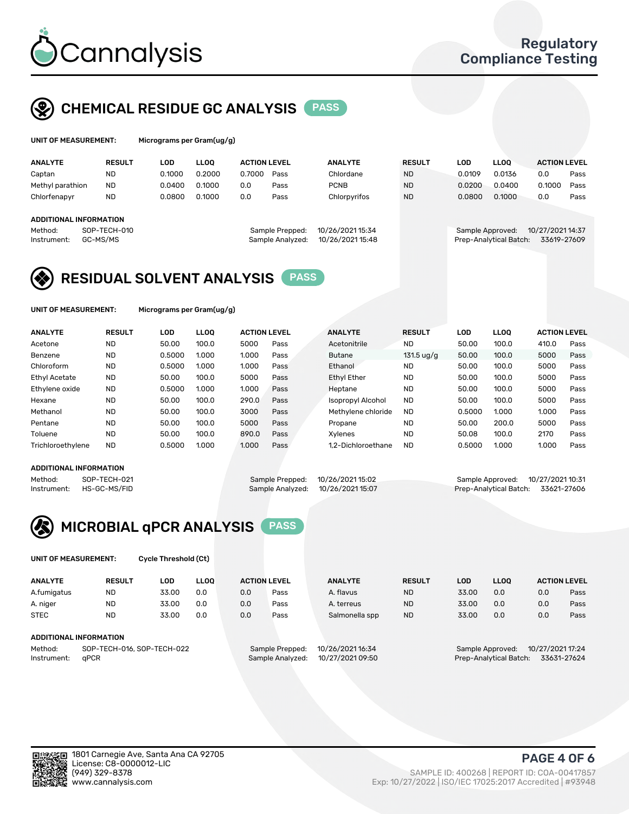

### CHEMICAL RESIDUE GC ANALYSIS PASS

| UNIT OF MEASUREMENT: | Microgran |
|----------------------|-----------|
|                      |           |

ns per Gram(ug/g)

| <b>ANALYTE</b>                | <b>RESULT</b>            | LOD    | <b>LLOO</b> | <b>ACTION LEVEL</b> |                                     | <b>ANALYTE</b>                       | <b>RESULT</b> | <b>LOD</b>       | <b>LLOO</b>            | <b>ACTION LEVEL</b>             |      |
|-------------------------------|--------------------------|--------|-------------|---------------------|-------------------------------------|--------------------------------------|---------------|------------------|------------------------|---------------------------------|------|
| Captan                        | <b>ND</b>                | 0.1000 | 0.2000      | 0.7000              | Pass                                | Chlordane                            | <b>ND</b>     | 0.0109           | 0.0136                 | 0.0                             | Pass |
| Methyl parathion              | <b>ND</b>                | 0.0400 | 0.1000      | 0.0                 | Pass                                | <b>PCNB</b>                          | <b>ND</b>     | 0.0200           | 0.0400                 | 0.1000                          | Pass |
| Chlorfenapyr                  | <b>ND</b>                | 0.0800 | 0.1000      | 0.0                 | Pass                                | Chlorpyrifos                         | <b>ND</b>     | 0.0800           | 0.1000                 | 0.0                             | Pass |
| <b>ADDITIONAL INFORMATION</b> |                          |        |             |                     |                                     |                                      |               |                  |                        |                                 |      |
| Method:<br>Instrument:        | SOP-TECH-010<br>GC-MS/MS |        |             |                     | Sample Prepped:<br>Sample Analyzed: | 10/26/2021 15:34<br>10/26/2021 15:48 |               | Sample Approved: | Prep-Analytical Batch: | 10/27/2021 14:37<br>33619-27609 |      |

### RESIDUAL SOLVENT ANALYSIS PASS

UNIT OF MEASUREMENT: Micrograms per Gram(ug/g)

| <b>ANALYTE</b>       | <b>RESULT</b> | LOD    | <b>LLOO</b> | <b>ACTION LEVEL</b> |      | <b>ANALYTE</b>           | <b>RESULT</b>        | LOD    | <b>LLOO</b> | <b>ACTION LEVEL</b> |      |
|----------------------|---------------|--------|-------------|---------------------|------|--------------------------|----------------------|--------|-------------|---------------------|------|
| Acetone              | <b>ND</b>     | 50.00  | 100.0       | 5000                | Pass | Acetonitrile             | <b>ND</b>            | 50.00  | 100.0       | 410.0               | Pass |
| Benzene              | <b>ND</b>     | 0.5000 | 1.000       | 1.000               | Pass | Butane                   | $131.5 \text{ uq/q}$ | 50.00  | 100.0       | 5000                | Pass |
| Chloroform           | <b>ND</b>     | 0.5000 | 1.000       | 1.000               | Pass | Ethanol                  | <b>ND</b>            | 50.00  | 100.0       | 5000                | Pass |
| <b>Ethyl Acetate</b> | <b>ND</b>     | 50.00  | 100.0       | 5000                | Pass | <b>Ethyl Ether</b>       | <b>ND</b>            | 50.00  | 100.0       | 5000                | Pass |
| Ethylene oxide       | <b>ND</b>     | 0.5000 | 1.000       | 1.000               | Pass | Heptane                  | <b>ND</b>            | 50.00  | 100.0       | 5000                | Pass |
| Hexane               | <b>ND</b>     | 50.00  | 100.0       | 290.0               | Pass | <b>Isopropyl Alcohol</b> | <b>ND</b>            | 50.00  | 100.0       | 5000                | Pass |
| Methanol             | <b>ND</b>     | 50.00  | 100.0       | 3000                | Pass | Methylene chloride       | <b>ND</b>            | 0.5000 | 1.000       | 1.000               | Pass |
| Pentane              | <b>ND</b>     | 50.00  | 100.0       | 5000                | Pass | Propane                  | <b>ND</b>            | 50.00  | 200.0       | 5000                | Pass |
| Toluene              | <b>ND</b>     | 50.00  | 100.0       | 890.0               | Pass | Xvlenes                  | <b>ND</b>            | 50.08  | 100.0       | 2170                | Pass |
| Trichloroethylene    | <b>ND</b>     | 0.5000 | 1.000       | 1.000               | Pass | 1.2-Dichloroethane       | <b>ND</b>            | 0.5000 | 1.000       | 1.000               | Pass |

#### ADDITIONAL INFORMATION

|         | ADDITIONAL INFORMATION   |                                  |                                    |  |
|---------|--------------------------|----------------------------------|------------------------------------|--|
| Method: | SOP-TECH-021             | Sample Prepped: 10/26/202115:02  | Sample Approved: 10/27/2021 10:31  |  |
|         | Instrument: HS-GC-MS/FID | Sample Analyzed: 10/26/202115:07 | Prep-Analytical Batch: 33621-27606 |  |



UNIT OF MEASUREMENT: Cycle Threshold (Ct)

| <b>ANALYTE</b> | <b>RESULT</b>              | LOD   | <b>LLOO</b> |     | <b>ACTION LEVEL</b> | <b>ANALYTE</b>   | <b>RESULT</b> | LOD   | <b>LLOO</b>            |                  | <b>ACTION LEVEL</b> |
|----------------|----------------------------|-------|-------------|-----|---------------------|------------------|---------------|-------|------------------------|------------------|---------------------|
| A.fumigatus    | <b>ND</b>                  | 33.00 | 0.0         | 0.0 | Pass                | A. flavus        | <b>ND</b>     | 33.00 | 0.0                    | 0.0              | Pass                |
| A. niger       | <b>ND</b>                  | 33.00 | 0.0         | 0.0 | Pass                | A. terreus       | <b>ND</b>     | 33.00 | 0.0                    | 0.0              | Pass                |
| <b>STEC</b>    | <b>ND</b>                  | 33.00 | 0.0         | 0.0 | Pass                | Salmonella spp   | <b>ND</b>     | 33.00 | 0.0                    | 0.0              | Pass                |
|                | ADDITIONAL INFORMATION     |       |             |     |                     |                  |               |       |                        |                  |                     |
| Method:        | SOP-TECH-016, SOP-TECH-022 |       |             |     | Sample Prepped:     | 10/26/2021 16:34 |               |       | Sample Approved:       | 10/27/2021 17:24 |                     |
| Instrument:    | aPCR                       |       |             |     | Sample Analyzed:    | 10/27/2021 09:50 |               |       | Prep-Analytical Batch: |                  | 33631-27624         |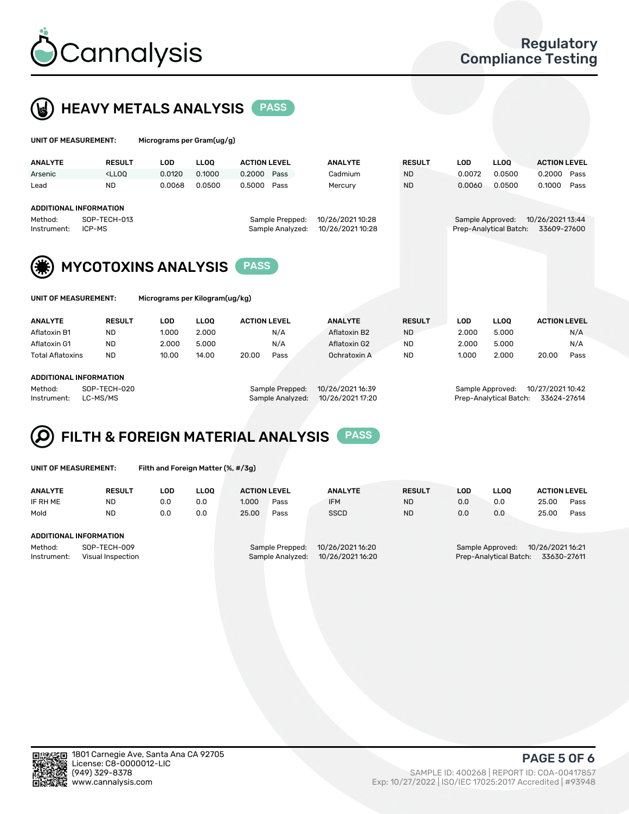

### **HEAVY METALS ANALYSIS** PASS

| UNIT OF MEASUREMENT: |                                                                                                                                                                                      | Micrograms per Gram(ug/g) |        |                     |      |                |               |  |        |             |                     |      |  |
|----------------------|--------------------------------------------------------------------------------------------------------------------------------------------------------------------------------------|---------------------------|--------|---------------------|------|----------------|---------------|--|--------|-------------|---------------------|------|--|
| <b>ANALYTE</b>       | <b>RESULT</b>                                                                                                                                                                        | LOD                       | LLOO   | <b>ACTION LEVEL</b> |      | <b>ANALYTE</b> | <b>RESULT</b> |  | LOD    | <b>LLOO</b> | <b>ACTION LEVEL</b> |      |  |
| Arsenic              | <lloq< td=""><td>0.0120</td><td>0.1000</td><td>0.2000</td><td>Pass</td><td>Cadmium</td><td><b>ND</b></td><td></td><td>0.0072</td><td>0.0500</td><td>0.2000</td><td>Pass</td></lloq<> | 0.0120                    | 0.1000 | 0.2000              | Pass | Cadmium        | <b>ND</b>     |  | 0.0072 | 0.0500      | 0.2000              | Pass |  |
| Lead                 | ND                                                                                                                                                                                   | 0.0068                    | 0.0500 | 0.5000              | Pass | Mercury        | <b>ND</b>     |  | 0.0060 | 0.0500      | 0.1000              | Pass |  |

### ADDITIONAL INFORMATION

Method: SOP-TECH-013 Sample Prepped: 10/26/2021 10:28 Sample Approved: 10/26/2021 13:44 Instrument: ICP-MS Sample Analyzed: 10/26/2021 10:28 Prep-Analytical Batch: 33609-27600

MYCOTOXINS ANALYSIS **PASS** 

T: Micrograms per Kilogram(ug/kg)

| <b>ANALYTE</b>          | <b>RESULT</b> | LOD   | <b>LLOO</b> | <b>ACTION LEVEL</b> |      | <b>ANALYTE</b> | <b>RESULT</b> | LOD   | <b>LLOO</b> |       | <b>ACTION LEVEL</b> |
|-------------------------|---------------|-------|-------------|---------------------|------|----------------|---------------|-------|-------------|-------|---------------------|
| Aflatoxin B1            | <b>ND</b>     | 1.000 | 2.000       |                     | N/A  | Aflatoxin B2   | <b>ND</b>     | 2.000 | 5.000       |       | N/A                 |
| Aflatoxin G1            | <b>ND</b>     | 2.000 | 5.000       |                     | N/A  | Aflatoxin G2   | <b>ND</b>     | 2.000 | 5.000       |       | N/A                 |
| <b>Total Aflatoxins</b> | <b>ND</b>     | 10.00 | 14.00       | 20.00               | Pass | Ochratoxin A   | <b>ND</b>     | 1.000 | 2.000       | 20.00 | Pass                |
|                         |               |       |             |                     |      |                |               |       |             |       |                     |
|                         |               |       |             |                     |      |                |               |       |             |       |                     |

#### ADDITIONAL INFORMATION

Method: SOP-TECH-020 Sample Prepped: 10/26/2021 16:39 Sample Approved: 10/27/2021 10:42 Instrument: LC-MS/MS Sample Analyzed: 10/26/2021 17:20 Prep-Analytical Batch: 33624-27614

## FILTH & FOREIGN MATERIAL ANALYSIS PASS

UNIT OF MEASUREMENT: Filth and Foreign Matter (%, #/3g)

| <b>ANALYTE</b>                                              | <b>RESULT</b> | LOD | LLOO | <b>ACTION LEVEL</b> |                                     | <b>ANALYTE</b>                       | <b>RESULT</b> | LOD | <b>LLOO</b>                                            | <b>ACTION LEVEL</b> |      |
|-------------------------------------------------------------|---------------|-----|------|---------------------|-------------------------------------|--------------------------------------|---------------|-----|--------------------------------------------------------|---------------------|------|
| IF RH ME                                                    | <b>ND</b>     | 0.0 | 0.0  | 1.000               | Pass                                | <b>IFM</b>                           | <b>ND</b>     | 0.0 | 0.0                                                    | 25.00               | Pass |
| Mold                                                        | <b>ND</b>     | 0.0 | 0.0  | 25.00               | Pass                                | <b>SSCD</b>                          | <b>ND</b>     | 0.0 | 0.0                                                    | 25.00               | Pass |
| ADDITIONAL INFORMATION                                      |               |     |      |                     |                                     |                                      |               |     |                                                        |                     |      |
| Method:<br>SOP-TECH-009<br>Instrument:<br>Visual Inspection |               |     |      |                     | Sample Prepped:<br>Sample Analyzed: | 10/26/2021 16:20<br>10/26/2021 16:20 |               |     | Sample Approved:<br>Prep-Analytical Batch: 33630-27611 | 10/26/202116:21     |      |